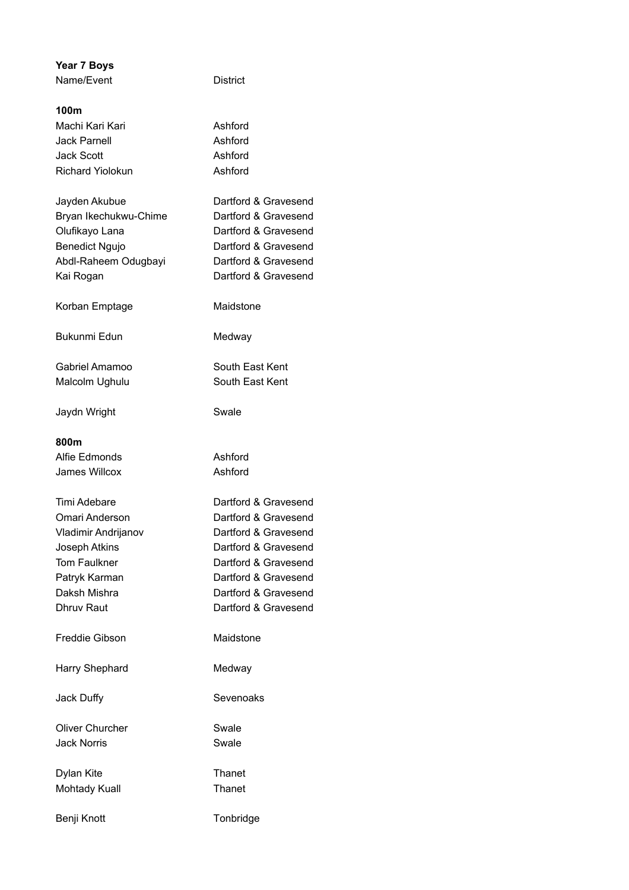| <b>Year 7 Boys</b>      |                      |
|-------------------------|----------------------|
| Name/Event              | <b>District</b>      |
|                         |                      |
| 100m                    |                      |
| Machi Kari Kari         | Ashford              |
| Jack Parnell            | Ashford              |
| <b>Jack Scott</b>       | Ashford              |
| <b>Richard Yiolokun</b> | Ashford              |
| Jayden Akubue           | Dartford & Gravesend |
| Bryan Ikechukwu-Chime   | Dartford & Gravesend |
| Olufikayo Lana          | Dartford & Gravesend |
| <b>Benedict Ngujo</b>   | Dartford & Gravesend |
|                         | Dartford & Gravesend |
| Abdl-Raheem Odugbayi    |                      |
| Kai Rogan               | Dartford & Gravesend |
| Korban Emptage          | Maidstone            |
| <b>Bukunmi Edun</b>     | Medway               |
| Gabriel Amamoo          | South East Kent      |
| Malcolm Ughulu          | South East Kent      |
|                         |                      |
| Jaydn Wright            | Swale                |
| 800m                    |                      |
| Alfie Edmonds           | Ashford              |
| James Willcox           | Ashford              |
|                         |                      |
| Timi Adebare            | Dartford & Gravesend |
| Omari Anderson          | Dartford & Gravesend |
| Vladimir Andrijanov     | Dartford & Gravesend |
| Joseph Atkins           | Dartford & Gravesend |
| <b>Tom Faulkner</b>     | Dartford & Gravesend |
| Patryk Karman           | Dartford & Gravesend |
| Daksh Mishra            | Dartford & Gravesend |
| Dhruv Raut              | Dartford & Gravesend |
|                         |                      |
| Freddie Gibson          | Maidstone            |
| Harry Shephard          | Medway               |
|                         |                      |
| Jack Duffy              | Sevenoaks            |
| <b>Oliver Churcher</b>  | Swale                |
| Jack Norris             | Swale                |
|                         |                      |
| Dylan Kite              | Thanet               |
| <b>Mohtady Kuall</b>    | Thanet               |
|                         |                      |
| Benji Knott             | Tonbridge            |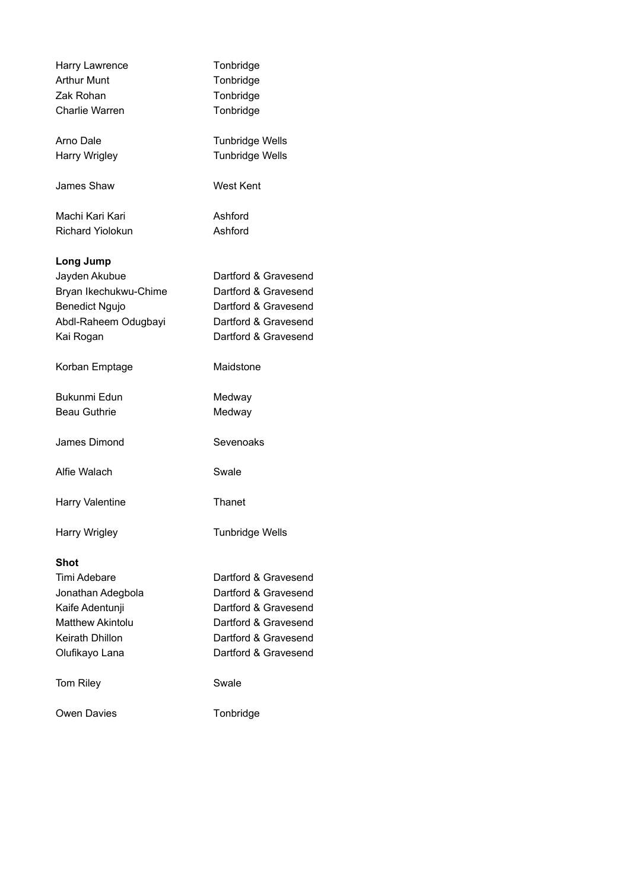| Harry Lawrence          | Tonbridge              |
|-------------------------|------------------------|
| <b>Arthur Munt</b>      | Tonbridge              |
| Zak Rohan               | Tonbridge              |
| Charlie Warren          | Tonbridge              |
| Arno Dale               | <b>Tunbridge Wells</b> |
| Harry Wrigley           | <b>Tunbridge Wells</b> |
| James Shaw              | <b>West Kent</b>       |
| Machi Kari Kari         | Ashford                |
| <b>Richard Yiolokun</b> | Ashford                |
| Long Jump               |                        |
| Jayden Akubue           | Dartford & Gravesend   |
| Bryan Ikechukwu-Chime   | Dartford & Gravesend   |
| <b>Benedict Ngujo</b>   | Dartford & Gravesend   |
| Abdl-Raheem Odugbayi    | Dartford & Gravesend   |
| Kai Rogan               | Dartford & Gravesend   |
| Korban Emptage          | Maidstone              |
| Bukunmi Edun            | Medway                 |
| <b>Beau Guthrie</b>     | Medway                 |
| James Dimond            | Sevenoaks              |
| Alfie Walach            | Swale                  |
| Harry Valentine         | Thanet                 |
| Harry Wrigley           | <b>Tunbridge Wells</b> |
| Shot                    |                        |
| Timi Adebare            | Dartford & Gravesend   |
| Jonathan Adegbola       | Dartford & Gravesend   |
| Kaife Adentunji         | Dartford & Gravesend   |
| <b>Matthew Akintolu</b> | Dartford & Gravesend   |
| Keirath Dhillon         | Dartford & Gravesend   |
| Olufikayo Lana          | Dartford & Gravesend   |
| <b>Tom Riley</b>        | Swale                  |
| <b>Owen Davies</b>      | Tonbridge              |
|                         |                        |